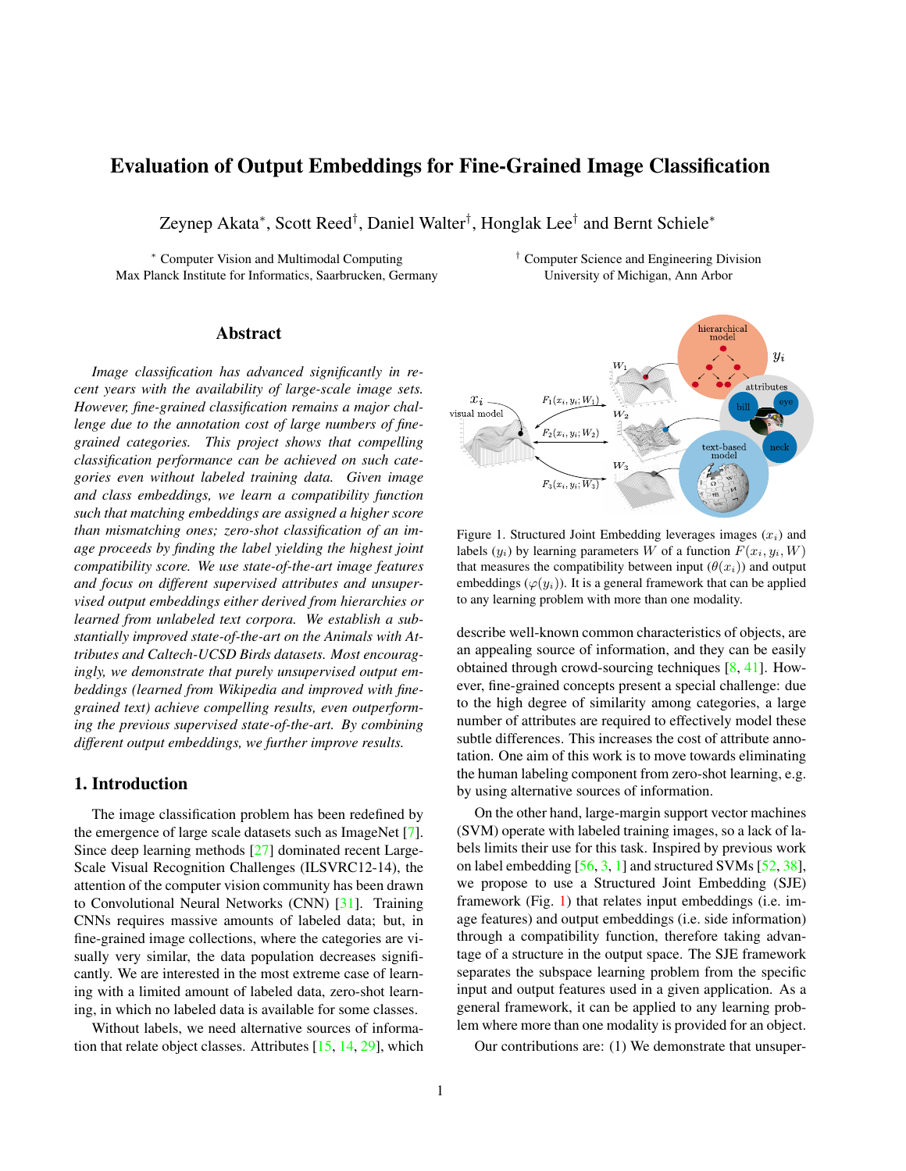# <span id="page-0-1"></span>Evaluation of Output Embeddings for Fine-Grained Image Classification

Zeynep Akata<sup>∗</sup> , Scott Reed† , Daniel Walter† , Honglak Lee† and Bernt Schiele<sup>∗</sup>

<sup>∗</sup> Computer Vision and Multimodal Computing † Computer Science and Engineering Division Max Planck Institute for Informatics, Saarbrucken, Germany University of Michigan, Ann Arbor

# Abstract

*Image classification has advanced significantly in recent years with the availability of large-scale image sets. However, fine-grained classification remains a major challenge due to the annotation cost of large numbers of finegrained categories. This project shows that compelling classification performance can be achieved on such categories even without labeled training data. Given image and class embeddings, we learn a compatibility function such that matching embeddings are assigned a higher score than mismatching ones; zero-shot classification of an image proceeds by finding the label yielding the highest joint compatibility score. We use state-of-the-art image features and focus on different supervised attributes and unsupervised output embeddings either derived from hierarchies or learned from unlabeled text corpora. We establish a substantially improved state-of-the-art on the Animals with Attributes and Caltech-UCSD Birds datasets. Most encouragingly, we demonstrate that purely unsupervised output embeddings (learned from Wikipedia and improved with finegrained text) achieve compelling results, even outperforming the previous supervised state-of-the-art. By combining different output embeddings, we further improve results.*

# 1. Introduction

The image classification problem has been redefined by the emergence of large scale datasets such as ImageNet [\[7\]](#page-8-0). Since deep learning methods [\[27\]](#page-8-1) dominated recent Large-Scale Visual Recognition Challenges (ILSVRC12-14), the attention of the computer vision community has been drawn to Convolutional Neural Networks (CNN) [\[31\]](#page-8-2). Training CNNs requires massive amounts of labeled data; but, in fine-grained image collections, where the categories are visually very similar, the data population decreases significantly. We are interested in the most extreme case of learning with a limited amount of labeled data, zero-shot learning, in which no labeled data is available for some classes.

Without labels, we need alternative sources of information that relate object classes. Attributes [\[15,](#page-8-3) [14,](#page-8-4) [29\]](#page-8-5), which



<span id="page-0-0"></span>Figure 1. Structured Joint Embedding leverages images  $(x_i)$  and labels  $(y_i)$  by learning parameters W of a function  $F(x_i, y_i, W)$ that measures the compatibility between input  $(\theta(x_i))$  and output embeddings  $(\varphi(y_i))$ . It is a general framework that can be applied to any learning problem with more than one modality.

describe well-known common characteristics of objects, are an appealing source of information, and they can be easily obtained through crowd-sourcing techniques [\[8,](#page-8-6) [41\]](#page-8-7). However, fine-grained concepts present a special challenge: due to the high degree of similarity among categories, a large number of attributes are required to effectively model these subtle differences. This increases the cost of attribute annotation. One aim of this work is to move towards eliminating the human labeling component from zero-shot learning, e.g. by using alternative sources of information.

On the other hand, large-margin support vector machines (SVM) operate with labeled training images, so a lack of labels limits their use for this task. Inspired by previous work on label embedding [\[56,](#page-9-0) [3,](#page-8-8) [1\]](#page-8-9) and structured SVMs [\[52,](#page-9-1) [38\]](#page-8-10), we propose to use a Structured Joint Embedding (SJE) framework (Fig. [1\)](#page-0-0) that relates input embeddings (i.e. image features) and output embeddings (i.e. side information) through a compatibility function, therefore taking advantage of a structure in the output space. The SJE framework separates the subspace learning problem from the specific input and output features used in a given application. As a general framework, it can be applied to any learning problem where more than one modality is provided for an object.

Our contributions are: (1) We demonstrate that unsuper-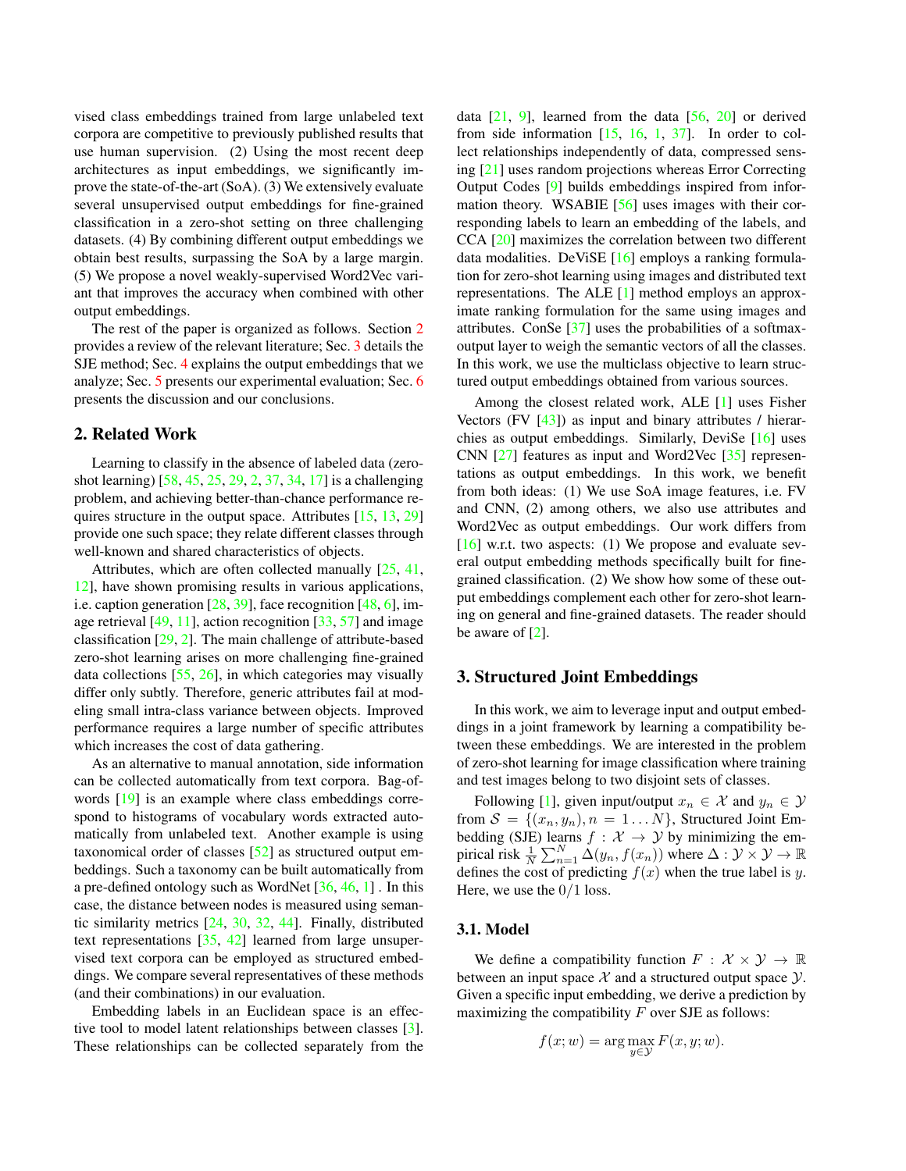<span id="page-1-2"></span>vised class embeddings trained from large unlabeled text corpora are competitive to previously published results that use human supervision. (2) Using the most recent deep architectures as input embeddings, we significantly improve the state-of-the-art (SoA). (3) We extensively evaluate several unsupervised output embeddings for fine-grained classification in a zero-shot setting on three challenging datasets. (4) By combining different output embeddings we obtain best results, surpassing the SoA by a large margin. (5) We propose a novel weakly-supervised Word2Vec variant that improves the accuracy when combined with other output embeddings.

The rest of the paper is organized as follows. Section [2](#page-1-0) provides a review of the relevant literature; Sec. [3](#page-1-1) details the SJE method; Sec. [4](#page-2-0) explains the output embeddings that we analyze; Sec. [5](#page-4-0) presents our experimental evaluation; Sec. [6](#page-7-0) presents the discussion and our conclusions.

## <span id="page-1-0"></span>2. Related Work

Learning to classify in the absence of labeled data (zeroshot learning) [\[58,](#page-9-2) [45,](#page-9-3) [25,](#page-8-11) [29,](#page-8-5) [2,](#page-8-12) [37,](#page-8-13) [34,](#page-8-14) [17\]](#page-8-15) is a challenging problem, and achieving better-than-chance performance requires structure in the output space. Attributes [\[15,](#page-8-3) [13,](#page-8-16) [29\]](#page-8-5) provide one such space; they relate different classes through well-known and shared characteristics of objects.

Attributes, which are often collected manually  $[25, 41, 41]$  $[25, 41, 41]$  $[25, 41, 41]$ [12\]](#page-8-17), have shown promising results in various applications, i.e. caption generation [\[28,](#page-8-18) [39\]](#page-8-19), face recognition [\[48,](#page-9-4) [6\]](#page-8-20), image retrieval  $[49, 11]$  $[49, 11]$  $[49, 11]$ , action recognition  $[33, 57]$  $[33, 57]$  and image classification [\[29,](#page-8-5) [2\]](#page-8-12). The main challenge of attribute-based zero-shot learning arises on more challenging fine-grained data collections [\[55,](#page-9-7) [26\]](#page-8-23), in which categories may visually differ only subtly. Therefore, generic attributes fail at modeling small intra-class variance between objects. Improved performance requires a large number of specific attributes which increases the cost of data gathering.

As an alternative to manual annotation, side information can be collected automatically from text corpora. Bag-ofwords [\[19\]](#page-8-24) is an example where class embeddings correspond to histograms of vocabulary words extracted automatically from unlabeled text. Another example is using taxonomical order of classes [\[52\]](#page-9-1) as structured output embeddings. Such a taxonomy can be built automatically from a pre-defined ontology such as WordNet [\[36,](#page-8-25) [46,](#page-9-8) [1\]](#page-8-9) . In this case, the distance between nodes is measured using semantic similarity metrics [\[24,](#page-8-26) [30,](#page-8-27) [32,](#page-8-28) [44\]](#page-9-9). Finally, distributed text representations [\[35,](#page-8-29) [42\]](#page-8-30) learned from large unsupervised text corpora can be employed as structured embeddings. We compare several representatives of these methods (and their combinations) in our evaluation.

Embedding labels in an Euclidean space is an effective tool to model latent relationships between classes [\[3\]](#page-8-8). These relationships can be collected separately from the data  $[21, 9]$  $[21, 9]$  $[21, 9]$ , learned from the data  $[56, 20]$  $[56, 20]$  or derived from side information  $[15, 16, 1, 37]$  $[15, 16, 1, 37]$  $[15, 16, 1, 37]$  $[15, 16, 1, 37]$  $[15, 16, 1, 37]$  $[15, 16, 1, 37]$ . In order to collect relationships independently of data, compressed sensing [\[21\]](#page-8-31) uses random projections whereas Error Correcting Output Codes [\[9\]](#page-8-32) builds embeddings inspired from information theory. WSABIE [\[56\]](#page-9-0) uses images with their corresponding labels to learn an embedding of the labels, and CCA [\[20\]](#page-8-33) maximizes the correlation between two different data modalities. DeViSE [\[16\]](#page-8-34) employs a ranking formulation for zero-shot learning using images and distributed text representations. The ALE [\[1\]](#page-8-9) method employs an approximate ranking formulation for the same using images and attributes. ConSe [\[37\]](#page-8-13) uses the probabilities of a softmaxoutput layer to weigh the semantic vectors of all the classes. In this work, we use the multiclass objective to learn structured output embeddings obtained from various sources.

Among the closest related work, ALE [\[1\]](#page-8-9) uses Fisher Vectors (FV  $[43]$ ) as input and binary attributes / hierarchies as output embeddings. Similarly, DeviSe [\[16\]](#page-8-34) uses CNN [\[27\]](#page-8-1) features as input and Word2Vec [\[35\]](#page-8-29) representations as output embeddings. In this work, we benefit from both ideas: (1) We use SoA image features, i.e. FV and CNN, (2) among others, we also use attributes and Word2Vec as output embeddings. Our work differs from [\[16\]](#page-8-34) w.r.t. two aspects: (1) We propose and evaluate several output embedding methods specifically built for finegrained classification. (2) We show how some of these output embeddings complement each other for zero-shot learning on general and fine-grained datasets. The reader should be aware of [\[2\]](#page-8-12).

## <span id="page-1-1"></span>3. Structured Joint Embeddings

In this work, we aim to leverage input and output embeddings in a joint framework by learning a compatibility between these embeddings. We are interested in the problem of zero-shot learning for image classification where training and test images belong to two disjoint sets of classes.

Following [\[1\]](#page-8-9), given input/output  $x_n \in \mathcal{X}$  and  $y_n \in \mathcal{Y}$ from  $S = \{(x_n, y_n), n = 1...N\}$ , Structured Joint Embedding (SJE) learns  $f : \mathcal{X} \to \mathcal{Y}$  by minimizing the empirical risk  $\frac{1}{N} \sum_{n=1}^{N} \Delta(y_n, f(x_n))$  where  $\Delta : \mathcal{Y} \times \mathcal{Y} \to \mathbb{R}$ defines the cost of predicting  $f(x)$  when the true label is y. Here, we use the  $0/1$  loss.

#### 3.1. Model

We define a compatibility function  $F : \mathcal{X} \times \mathcal{Y} \to \mathbb{R}$ between an input space  $X$  and a structured output space  $Y$ . Given a specific input embedding, we derive a prediction by maximizing the compatibility  $F$  over SJE as follows:

$$
f(x; w) = \arg\max_{y \in \mathcal{Y}} F(x, y; w).
$$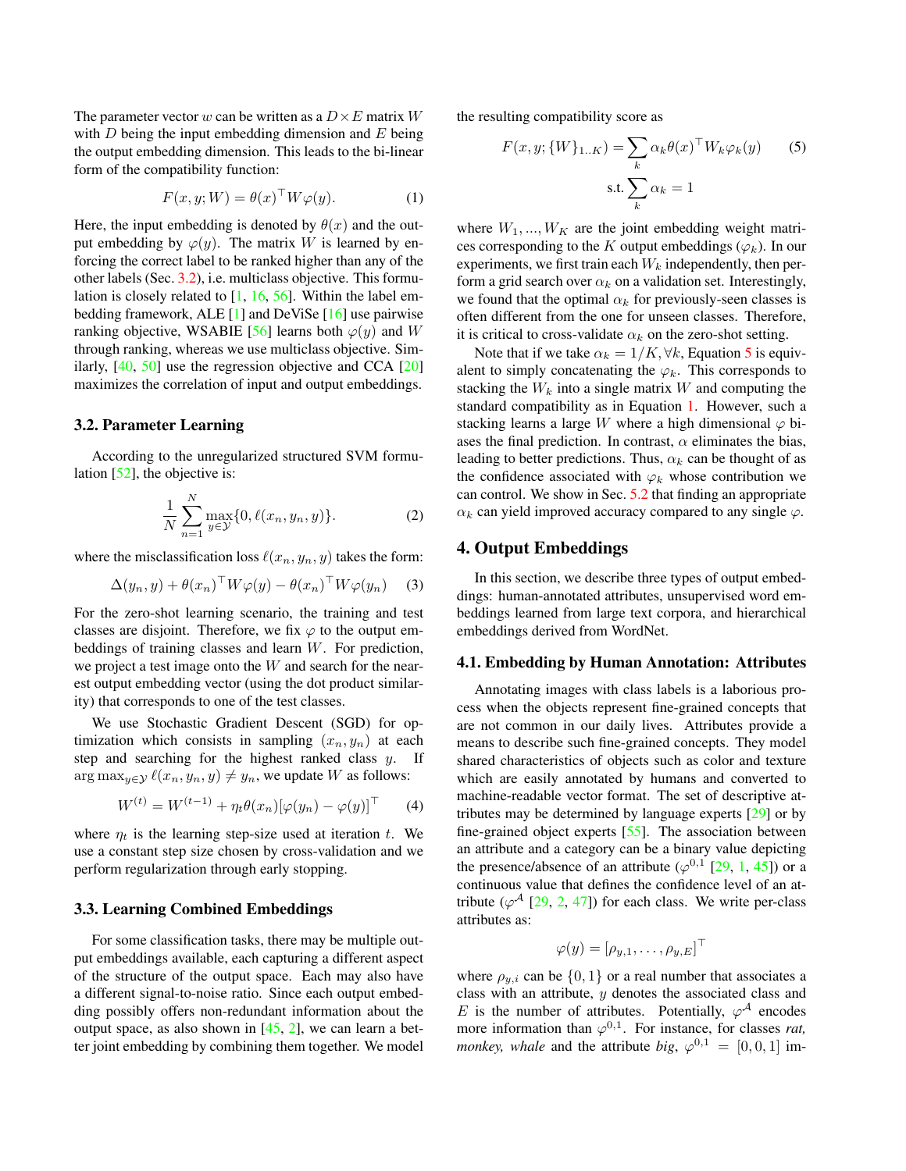<span id="page-2-6"></span>The parameter vector w can be written as a  $D \times E$  matrix W with  $D$  being the input embedding dimension and  $E$  being the output embedding dimension. This leads to the bi-linear form of the compatibility function:

<span id="page-2-3"></span>
$$
F(x, y; W) = \theta(x)^{\top} W \varphi(y).
$$
 (1)

Here, the input embedding is denoted by  $\theta(x)$  and the output embedding by  $\varphi(y)$ . The matrix W is learned by enforcing the correct label to be ranked higher than any of the other labels (Sec. [3.2\)](#page-2-1), i.e. multiclass objective. This formulation is closely related to [\[1,](#page-8-9) [16,](#page-8-34) [56\]](#page-9-0). Within the label embedding framework, ALE [\[1\]](#page-8-9) and DeViSe [\[16\]](#page-8-34) use pairwise ranking objective, WSABIE [\[56\]](#page-9-0) learns both  $\varphi(y)$  and W through ranking, whereas we use multiclass objective. Similarly, [\[40,](#page-8-36) [50\]](#page-9-10) use the regression objective and CCA [\[20\]](#page-8-33) maximizes the correlation of input and output embeddings.

#### <span id="page-2-1"></span>3.2. Parameter Learning

According to the unregularized structured SVM formulation [\[52\]](#page-9-1), the objective is:

$$
\frac{1}{N} \sum_{n=1}^{N} \max_{y \in \mathcal{Y}} \{0, \ell(x_n, y_n, y)\}.
$$
 (2)

where the misclassification loss  $\ell(x_n, y_n, y)$  takes the form:

$$
\Delta(y_n, y) + \theta(x_n)^\top W \varphi(y) - \theta(x_n)^\top W \varphi(y_n) \quad (3)
$$

For the zero-shot learning scenario, the training and test classes are disjoint. Therefore, we fix  $\varphi$  to the output embeddings of training classes and learn W. For prediction, we project a test image onto the W and search for the nearest output embedding vector (using the dot product similarity) that corresponds to one of the test classes.

We use Stochastic Gradient Descent (SGD) for optimization which consists in sampling  $(x_n, y_n)$  at each step and searching for the highest ranked class  $y$ . If  $\arg \max_{y \in \mathcal{Y}} \ell(x_n, y_n, y) \neq y_n$ , we update W as follows:

$$
W^{(t)} = W^{(t-1)} + \eta_t \theta(x_n) [\varphi(y_n) - \varphi(y)]^\top \tag{4}
$$

where  $\eta_t$  is the learning step-size used at iteration t. We use a constant step size chosen by cross-validation and we perform regularization through early stopping.

# <span id="page-2-5"></span>3.3. Learning Combined Embeddings

For some classification tasks, there may be multiple output embeddings available, each capturing a different aspect of the structure of the output space. Each may also have a different signal-to-noise ratio. Since each output embedding possibly offers non-redundant information about the output space, as also shown in  $[45, 2]$  $[45, 2]$  $[45, 2]$ , we can learn a better joint embedding by combining them together. We model the resulting compatibility score as

<span id="page-2-2"></span>
$$
F(x, y; \{W\}_{1..K}) = \sum_{k} \alpha_k \theta(x)^\top W_k \varphi_k(y) \qquad (5)
$$
  
s.t. 
$$
\sum_{k} \alpha_k = 1
$$

where  $W_1, ..., W_K$  are the joint embedding weight matrices corresponding to the K output embeddings ( $\varphi_k$ ). In our experiments, we first train each  $W_k$  independently, then perform a grid search over  $\alpha_k$  on a validation set. Interestingly, we found that the optimal  $\alpha_k$  for previously-seen classes is often different from the one for unseen classes. Therefore, it is critical to cross-validate  $\alpha_k$  on the zero-shot setting.

Note that if we take  $\alpha_k = 1/K, \forall k$ , Equation [5](#page-2-2) is equivalent to simply concatenating the  $\varphi_k$ . This corresponds to stacking the  $W_k$  into a single matrix W and computing the standard compatibility as in Equation [1.](#page-2-3) However, such a stacking learns a large W where a high dimensional  $\varphi$  biases the final prediction. In contrast,  $\alpha$  eliminates the bias, leading to better predictions. Thus,  $\alpha_k$  can be thought of as the confidence associated with  $\varphi_k$  whose contribution we can control. We show in Sec. [5.2](#page-4-1) that finding an appropriate  $\alpha_k$  can yield improved accuracy compared to any single  $\varphi$ .

## <span id="page-2-0"></span>4. Output Embeddings

In this section, we describe three types of output embeddings: human-annotated attributes, unsupervised word embeddings learned from large text corpora, and hierarchical embeddings derived from WordNet.

#### <span id="page-2-4"></span>4.1. Embedding by Human Annotation: Attributes

Annotating images with class labels is a laborious process when the objects represent fine-grained concepts that are not common in our daily lives. Attributes provide a means to describe such fine-grained concepts. They model shared characteristics of objects such as color and texture which are easily annotated by humans and converted to machine-readable vector format. The set of descriptive attributes may be determined by language experts [\[29\]](#page-8-5) or by fine-grained object experts [\[55\]](#page-9-7). The association between an attribute and a category can be a binary value depicting the presence/absence of an attribute  $(\varphi^{0,1}$  [\[29,](#page-8-5) [1,](#page-8-9) [45\]](#page-9-3)) or a continuous value that defines the confidence level of an attribute ( $\varphi^{\mathcal{A}}$  [\[29,](#page-8-5) [2,](#page-8-12) [47\]](#page-9-11)) for each class. We write per-class attributes as:

$$
\varphi(y) = [\rho_{y,1}, \ldots, \rho_{y,E}]^{\top}
$$

where  $\rho_{y,i}$  can be  $\{0,1\}$  or a real number that associates a class with an attribute,  $y$  denotes the associated class and E is the number of attributes. Potentially,  $\varphi^{\mathcal{A}}$  encodes more information than  $\varphi^{0,1}$ . For instance, for classes *rat*, *monkey, whale* and the attribute *big,*  $\varphi^{0,1} = [0, 0, 1]$  im-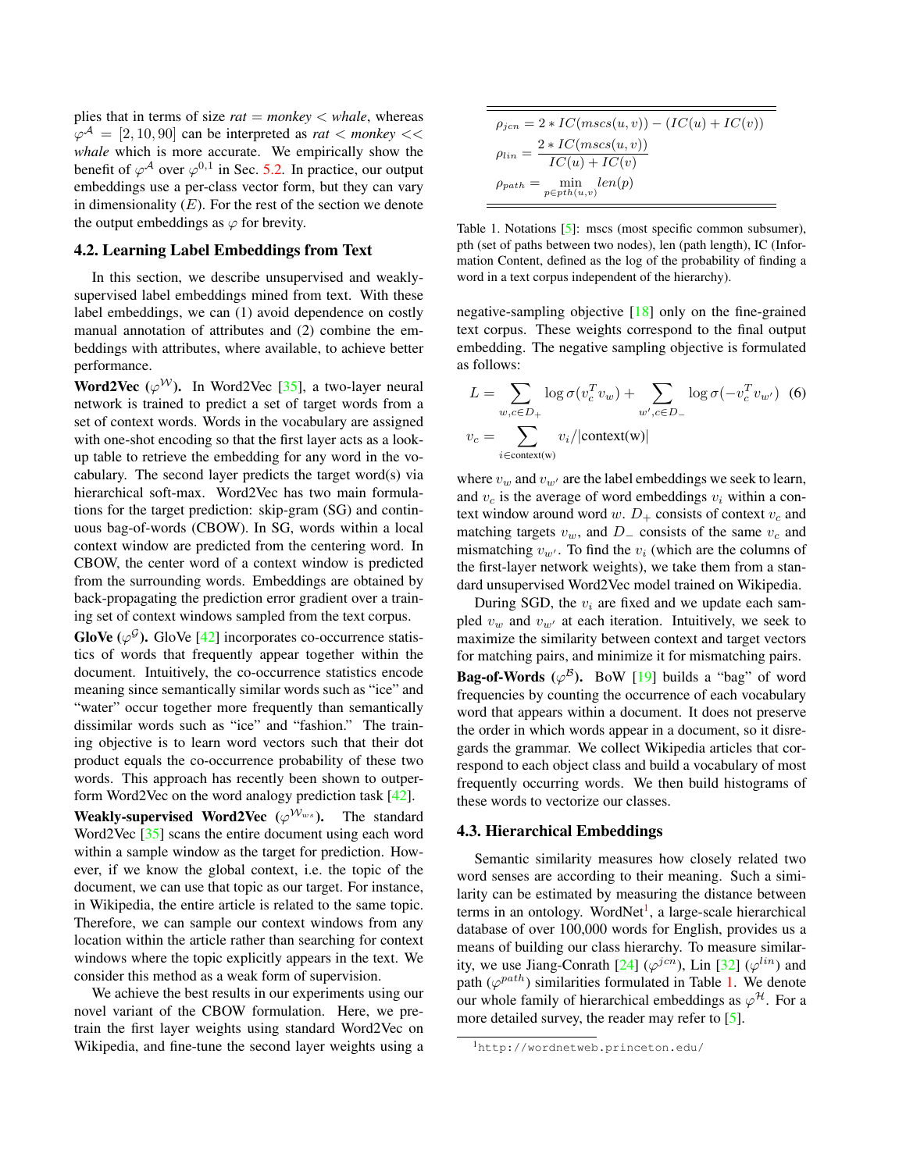<span id="page-3-3"></span>plies that in terms of size  $rat = monkey < whale$ , whereas  $\varphi^{\mathcal{A}} = [2, 10, 90]$  can be interpreted as *rat* < *monkey* << *whale* which is more accurate. We empirically show the benefit of  $\varphi^{\mathcal{A}}$  over  $\varphi^{0,1}$  in Sec. [5.2.](#page-4-1) In practice, our output embeddings use a per-class vector form, but they can vary in dimensionality  $(E)$ . For the rest of the section we denote the output embeddings as  $\varphi$  for brevity.

## <span id="page-3-2"></span>4.2. Learning Label Embeddings from Text

In this section, we describe unsupervised and weaklysupervised label embeddings mined from text. With these label embeddings, we can (1) avoid dependence on costly manual annotation of attributes and (2) combine the embeddings with attributes, where available, to achieve better performance.

**Word2Vec** ( $\varphi^{\mathcal{W}}$ ). In Word2Vec [\[35\]](#page-8-29), a two-layer neural network is trained to predict a set of target words from a set of context words. Words in the vocabulary are assigned with one-shot encoding so that the first layer acts as a lookup table to retrieve the embedding for any word in the vocabulary. The second layer predicts the target word(s) via hierarchical soft-max. Word2Vec has two main formulations for the target prediction: skip-gram (SG) and continuous bag-of-words (CBOW). In SG, words within a local context window are predicted from the centering word. In CBOW, the center word of a context window is predicted from the surrounding words. Embeddings are obtained by back-propagating the prediction error gradient over a training set of context windows sampled from the text corpus.

GloVe ( $\varphi^{\mathcal{G}}$ ). GloVe [\[42\]](#page-8-30) incorporates co-occurrence statistics of words that frequently appear together within the document. Intuitively, the co-occurrence statistics encode meaning since semantically similar words such as "ice" and "water" occur together more frequently than semantically dissimilar words such as "ice" and "fashion." The training objective is to learn word vectors such that their dot product equals the co-occurrence probability of these two words. This approach has recently been shown to outperform Word2Vec on the word analogy prediction task [\[42\]](#page-8-30).

**Weakly-supervised Word2Vec** ( $\varphi^{W_{ws}}$ ). The standard Word2Vec [\[35\]](#page-8-29) scans the entire document using each word within a sample window as the target for prediction. However, if we know the global context, i.e. the topic of the document, we can use that topic as our target. For instance, in Wikipedia, the entire article is related to the same topic. Therefore, we can sample our context windows from any location within the article rather than searching for context windows where the topic explicitly appears in the text. We consider this method as a weak form of supervision.

We achieve the best results in our experiments using our novel variant of the CBOW formulation. Here, we pretrain the first layer weights using standard Word2Vec on Wikipedia, and fine-tune the second layer weights using a

$$
\rho_{jcn} = 2 * IC(mscs(u, v)) - (IC(u) + IC(v))
$$

$$
\rho_{lin} = \frac{2 * IC(mscs(u, v))}{IC(u) + IC(v)}
$$

$$
\rho_{path} = \min_{p \in pth(u, v)} len(p)
$$

<span id="page-3-1"></span>Table 1. Notations [\[5\]](#page-8-37): mscs (most specific common subsumer), pth (set of paths between two nodes), len (path length), IC (Information Content, defined as the log of the probability of finding a word in a text corpus independent of the hierarchy).

negative-sampling objective [\[18\]](#page-8-38) only on the fine-grained text corpus. These weights correspond to the final output embedding. The negative sampling objective is formulated as follows:

$$
L = \sum_{w,c \in D_+} \log \sigma(v_c^T v_w) + \sum_{w',c \in D_-} \log \sigma(-v_c^T v_{w'}) \tag{6}
$$
  

$$
v_c = \sum_{i \in \text{context}(w)} v_i / |\text{context}(w)|
$$

where  $v_w$  and  $v_{w'}$  are the label embeddings we seek to learn, and  $v_c$  is the average of word embeddings  $v_i$  within a context window around word w.  $D_+$  consists of context  $v_c$  and matching targets  $v_w$ , and  $D_$  consists of the same  $v_c$  and mismatching  $v_{w'}$ . To find the  $v_i$  (which are the columns of the first-layer network weights), we take them from a standard unsupervised Word2Vec model trained on Wikipedia.

During SGD, the  $v_i$  are fixed and we update each sampled  $v_w$  and  $v_{w'}$  at each iteration. Intuitively, we seek to maximize the similarity between context and target vectors for matching pairs, and minimize it for mismatching pairs. **Bag-of-Words** ( $\varphi^{\mathcal{B}}$ ). BoW [\[19\]](#page-8-24) builds a "bag" of word frequencies by counting the occurrence of each vocabulary word that appears within a document. It does not preserve the order in which words appear in a document, so it disregards the grammar. We collect Wikipedia articles that correspond to each object class and build a vocabulary of most frequently occurring words. We then build histograms of these words to vectorize our classes.

#### 4.3. Hierarchical Embeddings

Semantic similarity measures how closely related two word senses are according to their meaning. Such a similarity can be estimated by measuring the distance between terms in an ontology. WordNet<sup>[1](#page-3-0)</sup>, a large-scale hierarchical database of over 100,000 words for English, provides us a means of building our class hierarchy. To measure similarity, we use Jiang-Conrath  $[24]$  ( $\varphi^{jcn}$ ), Lin  $[32]$  ( $\varphi^{lin}$ ) and path  $(\varphi^{path})$  similarities formulated in Table [1.](#page-3-1) We denote our whole family of hierarchical embeddings as  $\varphi^{\mathcal{H}}$ . For a more detailed survey, the reader may refer to [\[5\]](#page-8-37).

<span id="page-3-0"></span><sup>1</sup>http://wordnetweb.princeton.edu/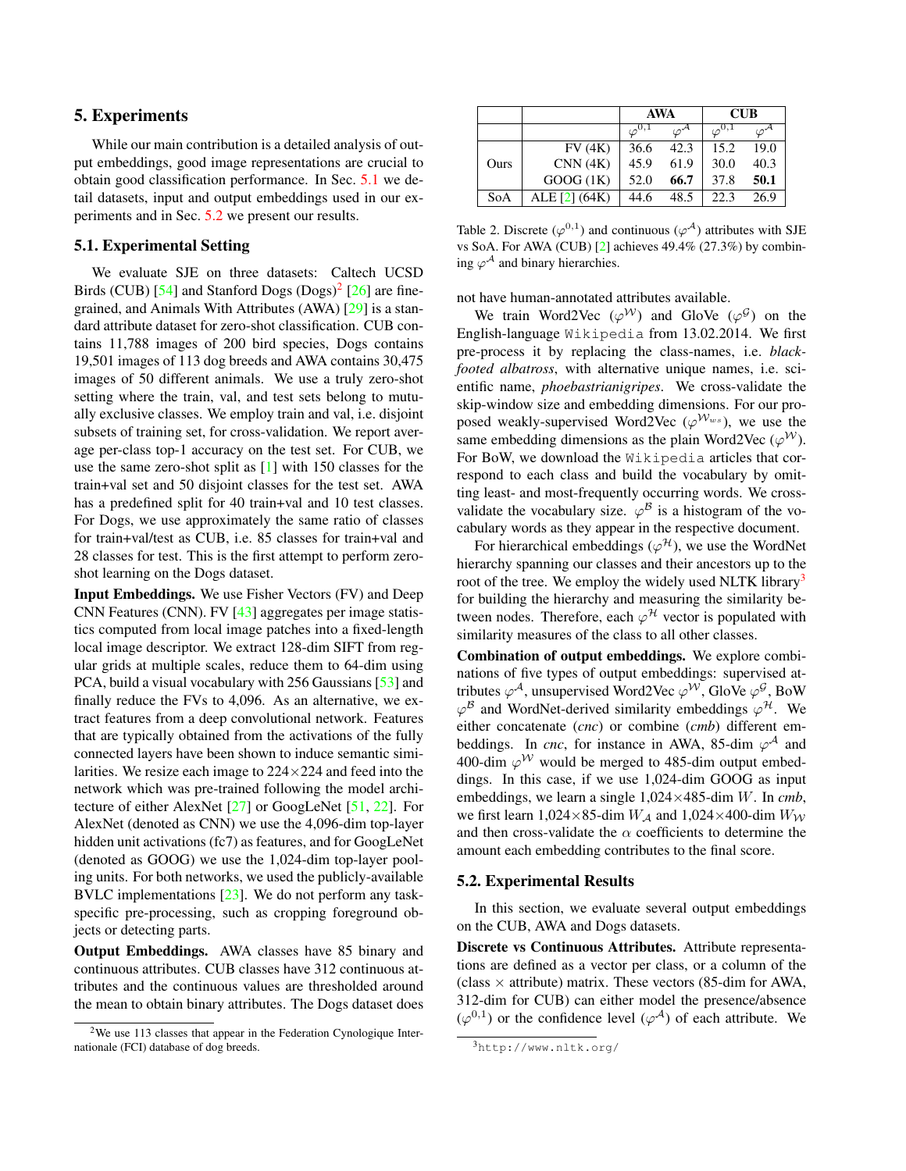# <span id="page-4-6"></span><span id="page-4-0"></span>5. Experiments

While our main contribution is a detailed analysis of output embeddings, good image representations are crucial to obtain good classification performance. In Sec. [5.1](#page-4-2) we detail datasets, input and output embeddings used in our experiments and in Sec. [5.2](#page-4-1) we present our results.

## <span id="page-4-2"></span>5.1. Experimental Setting

We evaluate SJE on three datasets: Caltech UCSD Birds (CUB)  $[54]$  and Stanford Dogs  $(Dogs)^2$  $(Dogs)^2$   $[26]$  are finegrained, and Animals With Attributes (AWA) [\[29\]](#page-8-5) is a standard attribute dataset for zero-shot classification. CUB contains 11,788 images of 200 bird species, Dogs contains 19,501 images of 113 dog breeds and AWA contains 30,475 images of 50 different animals. We use a truly zero-shot setting where the train, val, and test sets belong to mutually exclusive classes. We employ train and val, i.e. disjoint subsets of training set, for cross-validation. We report average per-class top-1 accuracy on the test set. For CUB, we use the same zero-shot split as [\[1\]](#page-8-9) with 150 classes for the train+val set and 50 disjoint classes for the test set. AWA has a predefined split for 40 train+val and 10 test classes. For Dogs, we use approximately the same ratio of classes for train+val/test as CUB, i.e. 85 classes for train+val and 28 classes for test. This is the first attempt to perform zeroshot learning on the Dogs dataset.

Input Embeddings. We use Fisher Vectors (FV) and Deep CNN Features (CNN). FV [\[43\]](#page-8-35) aggregates per image statistics computed from local image patches into a fixed-length local image descriptor. We extract 128-dim SIFT from regular grids at multiple scales, reduce them to 64-dim using PCA, build a visual vocabulary with 256 Gaussians [\[53\]](#page-9-13) and finally reduce the FVs to 4,096. As an alternative, we extract features from a deep convolutional network. Features that are typically obtained from the activations of the fully connected layers have been shown to induce semantic similarities. We resize each image to  $224 \times 224$  and feed into the network which was pre-trained following the model architecture of either AlexNet [\[27\]](#page-8-1) or GoogLeNet [\[51,](#page-9-14) [22\]](#page-8-39). For AlexNet (denoted as CNN) we use the 4,096-dim top-layer hidden unit activations (fc7) as features, and for GoogLeNet (denoted as GOOG) we use the 1,024-dim top-layer pooling units. For both networks, we used the publicly-available BVLC implementations [\[23\]](#page-8-40). We do not perform any taskspecific pre-processing, such as cropping foreground objects or detecting parts.

Output Embeddings. AWA classes have 85 binary and continuous attributes. CUB classes have 312 continuous attributes and the continuous values are thresholded around the mean to obtain binary attributes. The Dogs dataset does

|      |               | <b>AWA</b>      |                   | <b>CUB</b> |      |  |
|------|---------------|-----------------|-------------------|------------|------|--|
|      |               | $\varphi^{0,1}$ | $\varphi^{\cdot}$ | (0, 1)     |      |  |
|      | FV(4K)        | 36.6            | 42.3              | 15.2       | 19.0 |  |
| Ours | CNN(4K)       | 45.9            | 61.9              | 30.0       | 40.3 |  |
|      | GOOG(1K)      | 52.0            | 66.7              | 37.8       | 50.1 |  |
| SoA  | ALE [2] (64K) | 44.6            | 48.5              | 22.3       | 26.9 |  |

<span id="page-4-5"></span>Table 2. Discrete  $(\varphi^{0,1})$  and continuous  $(\varphi^{A})$  attributes with SJE vs SoA. For AWA (CUB) [\[2\]](#page-8-12) achieves 49.4% (27.3%) by combining  $\varphi^{\mathcal{A}}$  and binary hierarchies.

not have human-annotated attributes available.

We train Word2Vec  $(\varphi^{\mathcal{W}})$  and GloVe  $(\varphi^{\mathcal{G}})$  on the English-language Wikipedia from 13.02.2014. We first pre-process it by replacing the class-names, i.e. *blackfooted albatross*, with alternative unique names, i.e. scientific name, *phoebastrianigripes*. We cross-validate the skip-window size and embedding dimensions. For our proposed weakly-supervised Word2Vec ( $\varphi^{W_{ws}}$ ), we use the same embedding dimensions as the plain Word2Vec ( $\varphi^{\mathcal{W}}$ ). For BoW, we download the Wikipedia articles that correspond to each class and build the vocabulary by omitting least- and most-frequently occurring words. We crossvalidate the vocabulary size.  $\varphi^{\mathcal{B}}$  is a histogram of the vocabulary words as they appear in the respective document.

For hierarchical embeddings ( $\varphi^{\mathcal{H}}$ ), we use the WordNet hierarchy spanning our classes and their ancestors up to the root of the tree. We employ the widely used NLTK library<sup>[3](#page-4-4)</sup> for building the hierarchy and measuring the similarity between nodes. Therefore, each  $\varphi^{\mathcal{H}}$  vector is populated with similarity measures of the class to all other classes.

Combination of output embeddings. We explore combinations of five types of output embeddings: supervised attributes  $\varphi^{\mathcal{A}}$ , unsupervised Word2Vec  $\varphi^{\mathcal{W}}$ , GloVe  $\varphi^{\mathcal{G}}$ , BoW  $\varphi^{\mathcal{B}}$  and WordNet-derived similarity embeddings  $\varphi^{\mathcal{H}}$ . We either concatenate (*cnc*) or combine (*cmb*) different embeddings. In *cnc*, for instance in AWA, 85-dim  $\varphi^{\mathcal{A}}$  and 400-dim  $\varphi^{\mathcal{W}}$  would be merged to 485-dim output embeddings. In this case, if we use 1,024-dim GOOG as input embeddings, we learn a single 1,024×485-dim W. In *cmb*, we first learn  $1,024\times85$ -dim  $W_A$  and  $1,024\times400$ -dim  $W_W$ and then cross-validate the  $\alpha$  coefficients to determine the amount each embedding contributes to the final score.

#### <span id="page-4-1"></span>5.2. Experimental Results

In this section, we evaluate several output embeddings on the CUB, AWA and Dogs datasets.

Discrete vs Continuous Attributes. Attribute representations are defined as a vector per class, or a column of the (class  $\times$  attribute) matrix. These vectors (85-dim for AWA, 312-dim for CUB) can either model the presence/absence  $(\varphi^{0,1})$  or the confidence level  $(\varphi^{\mathcal{A}})$  of each attribute. We

<span id="page-4-3"></span> $2$ We use 113 classes that appear in the Federation Cynologique Internationale (FCI) database of dog breeds.

<span id="page-4-4"></span><sup>3</sup>http://www.nltk.org/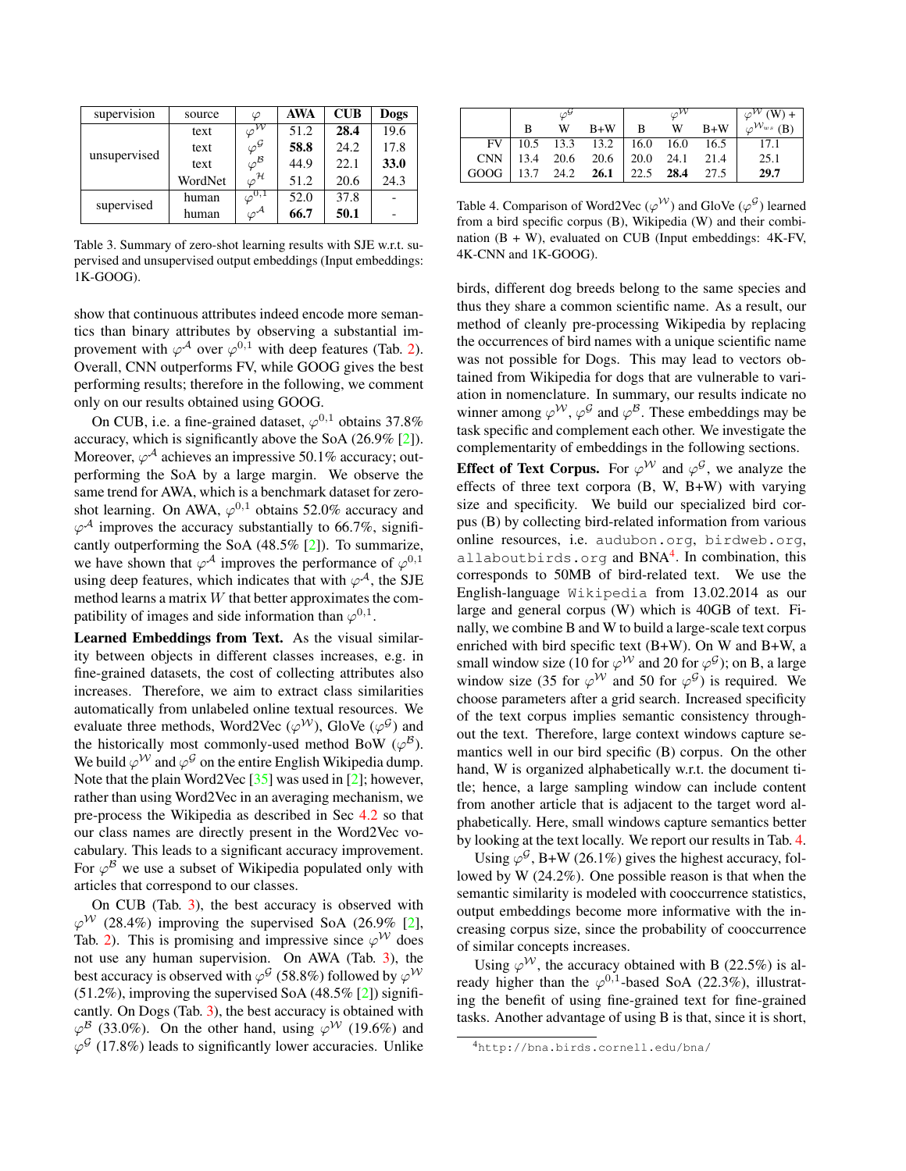<span id="page-5-3"></span>

| supervision  | source  | $\varphi$                          | <b>AWA</b> | $\mathbf{C} \mathbf{U} \mathbf{B}$ | Dogs |
|--------------|---------|------------------------------------|------------|------------------------------------|------|
| unsupervised | text    | $\varphi^{\overline{\mathcal{W}}}$ | 51.2       | 28.4                               | 19.6 |
|              | text    | $\varphi^{\mathcal{G}}$            | 58.8       | 24.2                               | 17.8 |
|              | text    | $\varphi^{\mathcal{B}}$            | 44.9       | 22.1                               | 33.0 |
|              | WordNet | $\varphi^{\mathcal{H}}$            | 51.2       | 20.6                               | 24.3 |
| supervised   | human   | $\varphi^{0,1}$                    | 52.0       | 37.8                               |      |
|              | human   | $\varphi^{\mathcal{A}}$            | 66.7       | 50.1                               |      |

<span id="page-5-0"></span>Table 3. Summary of zero-shot learning results with SJE w.r.t. supervised and unsupervised output embeddings (Input embeddings: 1K-GOOG).

show that continuous attributes indeed encode more semantics than binary attributes by observing a substantial improvement with  $\varphi^{\mathcal{A}}$  over  $\varphi^{0,1}$  with deep features (Tab. [2\)](#page-4-5). Overall, CNN outperforms FV, while GOOG gives the best performing results; therefore in the following, we comment only on our results obtained using GOOG.

On CUB, i.e. a fine-grained dataset,  $\varphi^{0,1}$  obtains 37.8% accuracy, which is significantly above the SoA (26.9% [\[2\]](#page-8-12)). Moreover,  $\varphi^{\mathcal{A}}$  achieves an impressive 50.1% accuracy; outperforming the SoA by a large margin. We observe the same trend for AWA, which is a benchmark dataset for zeroshot learning. On AWA,  $\varphi^{0,1}$  obtains 52.0% accuracy and  $\varphi^{\mathcal{A}}$  improves the accuracy substantially to 66.7%, significantly outperforming the SoA (48.5% [\[2\]](#page-8-12)). To summarize, we have shown that  $\varphi^{\mathcal{A}}$  improves the performance of  $\varphi^{0,1}$ using deep features, which indicates that with  $\varphi^{\mathcal{A}}$ , the SJE method learns a matrix  $W$  that better approximates the compatibility of images and side information than  $\varphi^{0,1}$ .

Learned Embeddings from Text. As the visual similarity between objects in different classes increases, e.g. in fine-grained datasets, the cost of collecting attributes also increases. Therefore, we aim to extract class similarities automatically from unlabeled online textual resources. We evaluate three methods, Word2Vec ( $\varphi^{\mathcal{W}}$ ), GloVe ( $\varphi^{\mathcal{G}}$ ) and the historically most commonly-used method BoW ( $\varphi^{\mathcal{B}}$ ). We build  $\varphi^{\mathcal{W}}$  and  $\varphi^{\mathcal{G}}$  on the entire English Wikipedia dump. Note that the plain Word2Vec [\[35\]](#page-8-29) was used in [\[2\]](#page-8-12); however, rather than using Word2Vec in an averaging mechanism, we pre-process the Wikipedia as described in Sec [4.2](#page-3-2) so that our class names are directly present in the Word2Vec vocabulary. This leads to a significant accuracy improvement. For  $\varphi^{\mathcal{B}}$  we use a subset of Wikipedia populated only with articles that correspond to our classes.

On CUB (Tab. [3\)](#page-5-0), the best accuracy is observed with  $\varphi^{\mathcal{W}}$  (28.4%) improving the supervised SoA (26.9% [\[2\]](#page-8-12), Tab. [2\)](#page-4-5). This is promising and impressive since  $\varphi^{\mathcal{W}}$  does not use any human supervision. On AWA (Tab. [3\)](#page-5-0), the best accuracy is observed with  $\varphi^{\cal G}$  (58.8%) followed by  $\varphi^{\cal W}$ (51.2%), improving the supervised SoA (48.5% [\[2\]](#page-8-12)) significantly. On Dogs (Tab. [3\)](#page-5-0), the best accuracy is obtained with  $\varphi^{\mathcal{B}}$  (33.0%). On the other hand, using  $\varphi^{\mathcal{W}}$  (19.6%) and  $\varphi^{\mathcal{G}}$  (17.8%) leads to significantly lower accuracies. Unlike

|      |   |   |                                  |                |   |       | $\varphi^{\mathcal{W}}(W)$ +     |
|------|---|---|----------------------------------|----------------|---|-------|----------------------------------|
|      | B | W | $B+W$                            | $\overline{B}$ | W | $B+W$ | $\varphi^{\mathcal{W}_{ws}}$ (B) |
| FV   |   |   | $10.5$ 13.3 13.2   16.0 16.0     |                |   | 16.5  | - 17.1                           |
|      |   |   | CNN   13.4 20.6 20.6   20.0 24.1 |                |   | 21.4  | 25.1                             |
| GOOG |   |   | 13.7 24.2 26.1   22.5 28.4       |                |   | 27.5  | 29.7                             |

<span id="page-5-2"></span>Table 4. Comparison of Word2Vec  $(\varphi^{\mathcal{W}})$  and GloVe  $(\varphi^{\mathcal{G}})$  learned from a bird specific corpus (B), Wikipedia (W) and their combination  $(B + W)$ , evaluated on CUB (Input embeddings: 4K-FV, 4K-CNN and 1K-GOOG).

birds, different dog breeds belong to the same species and thus they share a common scientific name. As a result, our method of cleanly pre-processing Wikipedia by replacing the occurrences of bird names with a unique scientific name was not possible for Dogs. This may lead to vectors obtained from Wikipedia for dogs that are vulnerable to variation in nomenclature. In summary, our results indicate no winner among  $\varphi^{\mathcal{W}}, \varphi^{\mathcal{G}}$  and  $\varphi^{\mathcal{B}}$ . These embeddings may be task specific and complement each other. We investigate the complementarity of embeddings in the following sections.

**Effect of Text Corpus.** For  $\varphi^{\mathcal{W}}$  and  $\varphi^{\mathcal{G}}$ , we analyze the effects of three text corpora (B, W, B+W) with varying size and specificity. We build our specialized bird corpus (B) by collecting bird-related information from various online resources, i.e. audubon.org, birdweb.org, allaboutbirds.org and BNA<sup>[4](#page-5-1)</sup>. In combination, this corresponds to 50MB of bird-related text. We use the English-language Wikipedia from 13.02.2014 as our large and general corpus (W) which is 40GB of text. Finally, we combine B and W to build a large-scale text corpus enriched with bird specific text (B+W). On W and B+W, a small window size (10 for  $\varphi^{\mathcal{W}}$  and 20 for  $\varphi^{\mathcal{G}}$ ); on B, a large window size (35 for  $\varphi^{\mathcal{W}}$  and 50 for  $\varphi^{\mathcal{G}}$ ) is required. We choose parameters after a grid search. Increased specificity of the text corpus implies semantic consistency throughout the text. Therefore, large context windows capture semantics well in our bird specific (B) corpus. On the other hand, W is organized alphabetically w.r.t. the document title; hence, a large sampling window can include content from another article that is adjacent to the target word alphabetically. Here, small windows capture semantics better by looking at the text locally. We report our results in Tab. [4.](#page-5-2)

Using  $\varphi^{\mathcal{G}}$ , B+W (26.1%) gives the highest accuracy, followed by W (24.2%). One possible reason is that when the semantic similarity is modeled with cooccurrence statistics, output embeddings become more informative with the increasing corpus size, since the probability of cooccurrence of similar concepts increases.

Using  $\varphi^{\mathcal{W}}$ , the accuracy obtained with B (22.5%) is already higher than the  $\varphi^{0,1}$ -based SoA (22.3%), illustrating the benefit of using fine-grained text for fine-grained tasks. Another advantage of using B is that, since it is short,

<span id="page-5-1"></span><sup>4</sup>http://bna.birds.cornell.edu/bna/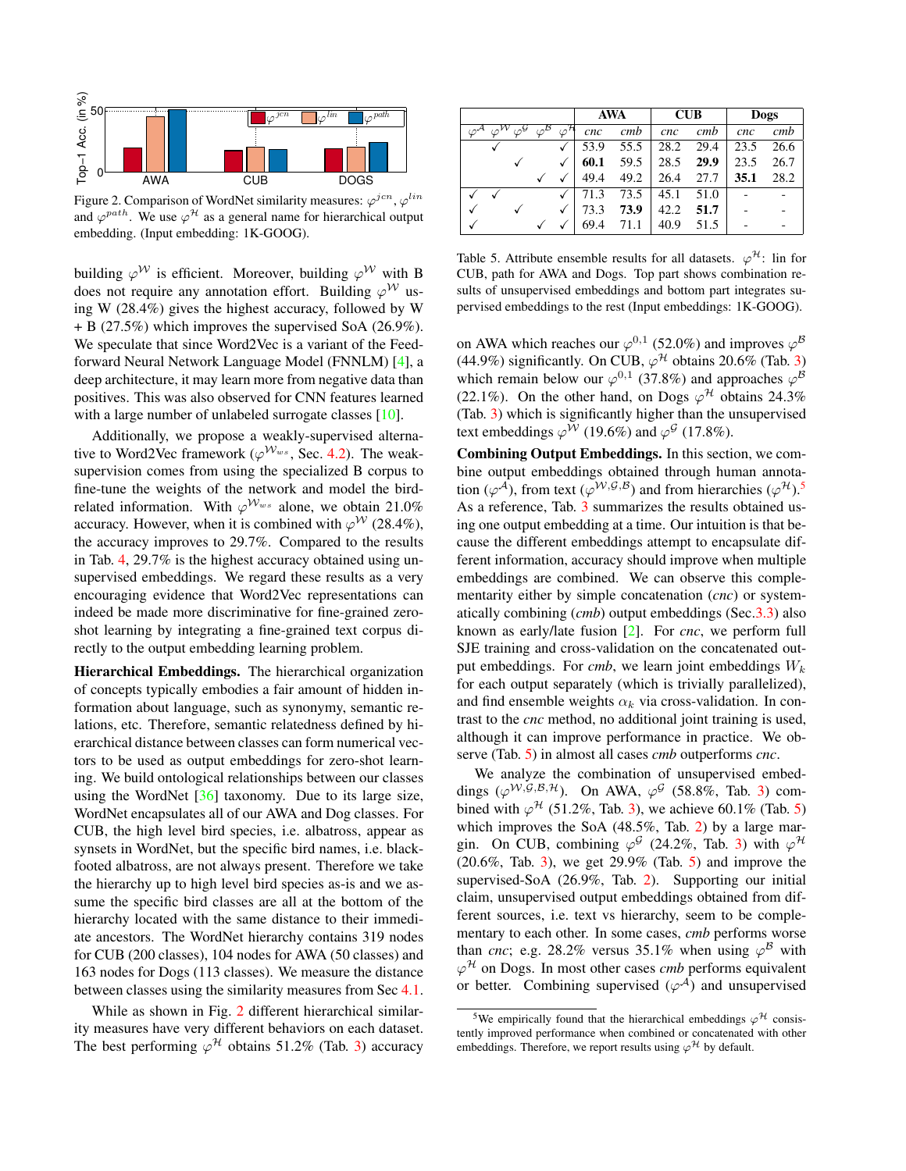<span id="page-6-3"></span>

<span id="page-6-0"></span>Figure 2. Comparison of WordNet similarity measures:  $\varphi^{jcn}, \varphi^{lin}$ and  $\varphi^{path}$ . We use  $\varphi^{\mathcal{H}}$  as a general name for hierarchical output embedding. (Input embedding: 1K-GOOG).

building  $\varphi^{\mathcal{W}}$  is efficient. Moreover, building  $\varphi^{\mathcal{W}}$  with B does not require any annotation effort. Building  $\varphi^{\mathcal{W}}$  using W (28.4%) gives the highest accuracy, followed by W + B (27.5%) which improves the supervised SoA (26.9%). We speculate that since Word2Vec is a variant of the Feedforward Neural Network Language Model (FNNLM) [\[4\]](#page-8-41), a deep architecture, it may learn more from negative data than positives. This was also observed for CNN features learned with a large number of unlabeled surrogate classes [\[10\]](#page-8-42).

Additionally, we propose a weakly-supervised alternative to Word2Vec framework ( $\varphi^{W_{ws}}$ , Sec. [4.2\)](#page-3-2). The weaksupervision comes from using the specialized B corpus to fine-tune the weights of the network and model the birdrelated information. With  $\varphi^{W_{ws}}$  alone, we obtain 21.0% accuracy. However, when it is combined with  $\varphi^{\mathcal{W}}$  (28.4%), the accuracy improves to 29.7%. Compared to the results in Tab. [4,](#page-5-2) 29.7% is the highest accuracy obtained using unsupervised embeddings. We regard these results as a very encouraging evidence that Word2Vec representations can indeed be made more discriminative for fine-grained zeroshot learning by integrating a fine-grained text corpus directly to the output embedding learning problem.

Hierarchical Embeddings. The hierarchical organization of concepts typically embodies a fair amount of hidden information about language, such as synonymy, semantic relations, etc. Therefore, semantic relatedness defined by hierarchical distance between classes can form numerical vectors to be used as output embeddings for zero-shot learning. We build ontological relationships between our classes using the WordNet  $[36]$  taxonomy. Due to its large size, WordNet encapsulates all of our AWA and Dog classes. For CUB, the high level bird species, i.e. albatross, appear as synsets in WordNet, but the specific bird names, i.e. blackfooted albatross, are not always present. Therefore we take the hierarchy up to high level bird species as-is and we assume the specific bird classes are all at the bottom of the hierarchy located with the same distance to their immediate ancestors. The WordNet hierarchy contains 319 nodes for CUB (200 classes), 104 nodes for AWA (50 classes) and 163 nodes for Dogs (113 classes). We measure the distance between classes using the similarity measures from Sec [4.1.](#page-2-4)

While as shown in Fig. [2](#page-6-0) different hierarchical similarity measures have very different behaviors on each dataset. The best performing  $\varphi^{\mathcal{H}}$  obtains 51.2% (Tab. [3\)](#page-5-0) accuracy

|  |      |                         |                         | <b>AWA</b> |      | $\overline{\text{CUB}}$ |      | <b>Dogs</b> |      |
|--|------|-------------------------|-------------------------|------------|------|-------------------------|------|-------------|------|
|  | نكان | $\varphi^{\mathcal{B}}$ | $\varphi^{\mathcal{H}}$ | cnc        | cmb  | cnc                     | cmb  | cnc         | cmb  |
|  |      |                         |                         | 53.9       | 55.5 | 28.2                    | 29.4 | 23.5        | 26.6 |
|  | √    |                         |                         | 60.1       | 59.5 | 28.5                    | 29.9 | 23.5        | 26.7 |
|  |      |                         |                         | 49.4       | 49.2 | 26.4                    | 27.7 | 35.1        | 28.2 |
|  |      |                         |                         | 71.3       | 73.5 | 45.1                    | 51.0 |             |      |
|  | √    |                         | √                       | 73.3       | 73.9 | 42.2                    | 51.7 |             |      |
|  |      |                         |                         | 69.4       |      | 40.9                    | 51.5 |             |      |

<span id="page-6-2"></span>Table 5. Attribute ensemble results for all datasets.  $\varphi^{\mathcal{H}}$ : lin for CUB, path for AWA and Dogs. Top part shows combination results of unsupervised embeddings and bottom part integrates supervised embeddings to the rest (Input embeddings: 1K-GOOG).

on AWA which reaches our  $\varphi^{0,1}$  (52.0%) and improves  $\varphi^{\mathcal{B}}$ (44.9%) significantly. On CUB,  $\varphi^{\mathcal{H}}$  obtains 20.6% (Tab. [3\)](#page-5-0) which remain below our  $\varphi^{0,1}$  (37.8%) and approaches  $\varphi^{\mathcal{B}}$ (22.1%). On the other hand, on Dogs  $\varphi^{\mathcal{H}}$  obtains 24.3% (Tab. [3\)](#page-5-0) which is significantly higher than the unsupervised text embeddings  $\varphi^{\mathcal{W}}$  (19.6%) and  $\varphi^{\mathcal{G}}$  (17.8%).

Combining Output Embeddings. In this section, we combine output embeddings obtained through human annotation ( $\varphi^{\mathcal{A}}$ ), from text ( $\varphi^{\mathcal{W},\mathcal{G},\mathcal{B}}$ ) and from hierarchies ( $\varphi^{\mathcal{H}}$ ).<sup>[5](#page-6-1)</sup> As a reference, Tab. [3](#page-5-0) summarizes the results obtained using one output embedding at a time. Our intuition is that because the different embeddings attempt to encapsulate different information, accuracy should improve when multiple embeddings are combined. We can observe this complementarity either by simple concatenation (*cnc*) or systematically combining (*cmb*) output embeddings (Sec[.3.3\)](#page-2-5) also known as early/late fusion [\[2\]](#page-8-12). For *cnc*, we perform full SJE training and cross-validation on the concatenated output embeddings. For *cmb*, we learn joint embeddings  $W_k$ for each output separately (which is trivially parallelized), and find ensemble weights  $\alpha_k$  via cross-validation. In contrast to the *cnc* method, no additional joint training is used, although it can improve performance in practice. We observe (Tab. [5\)](#page-6-2) in almost all cases *cmb* outperforms *cnc*.

We analyze the combination of unsupervised embeddings  $(\varphi^{\mathcal{W},\mathcal{G},\mathcal{B},\mathcal{H}})$ . On AWA,  $\varphi^{\mathcal{G}}$  (58.8%, Tab. [3\)](#page-5-0) combined with  $\varphi^{\mathcal{H}}$  (51.2%, Tab. [3\)](#page-5-0), we achieve 60.1% (Tab. [5\)](#page-6-2) which improves the SoA (48.5%, Tab. [2\)](#page-4-5) by a large margin. On CUB, combining  $\varphi^{\mathcal{G}}$  (24.2%, Tab. [3\)](#page-5-0) with  $\varphi^{\mathcal{H}}$  $(20.6\%,$  Tab. [3\)](#page-5-0), we get  $29.9\%$  (Tab. [5\)](#page-6-2) and improve the supervised-SoA (26.9%, Tab. [2\)](#page-4-5). Supporting our initial claim, unsupervised output embeddings obtained from different sources, i.e. text vs hierarchy, seem to be complementary to each other. In some cases, *cmb* performs worse than *cnc*; e.g. 28.2% versus 35.1% when using  $\varphi^B$  with  $\varphi^{\mathcal{H}}$  on Dogs. In most other cases *cmb* performs equivalent or better. Combining supervised  $(\varphi^{\mathcal{A}})$  and unsupervised

<span id="page-6-1"></span><sup>&</sup>lt;sup>5</sup>We empirically found that the hierarchical embeddings  $\varphi$ <sup>H</sup> consistently improved performance when combined or concatenated with other embeddings. Therefore, we report results using  $\varphi^{\mathcal{H}}$  by default.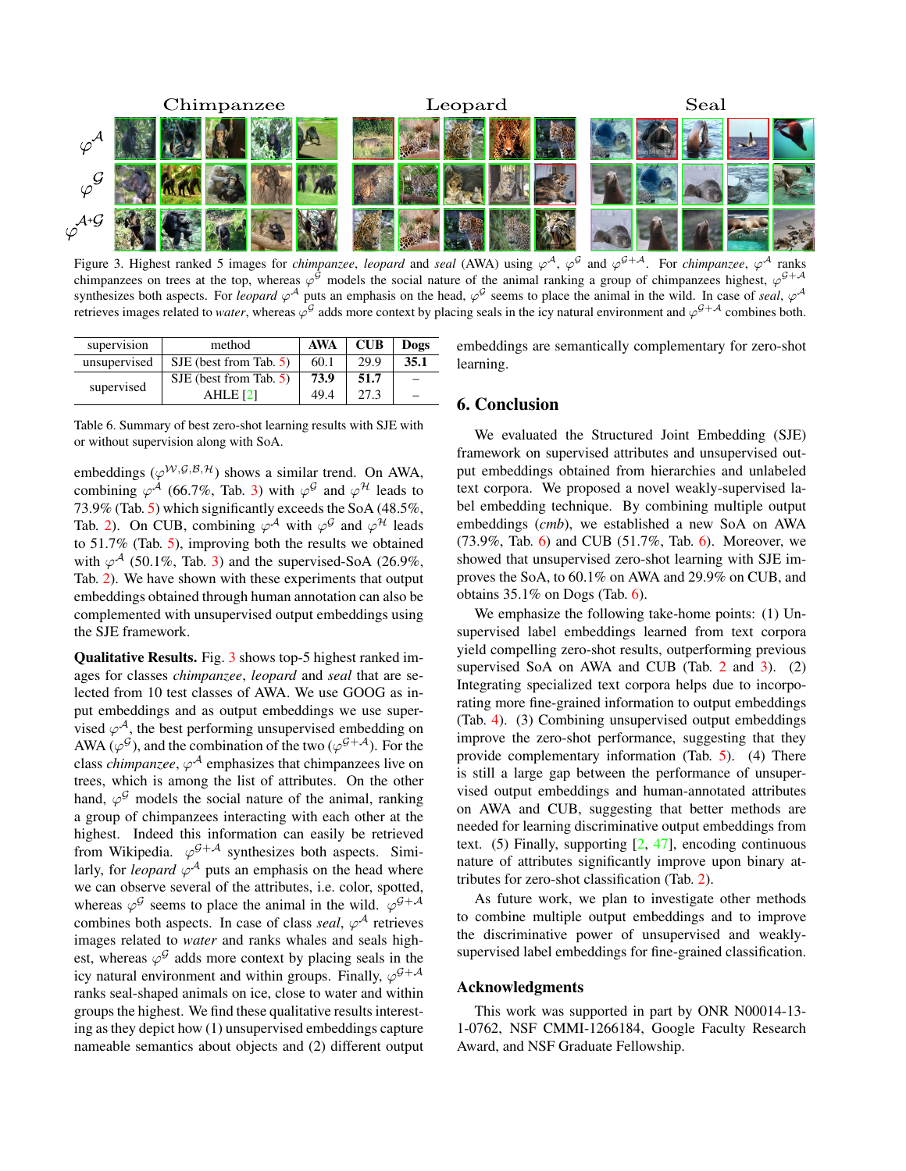<span id="page-7-3"></span>

<span id="page-7-1"></span>Figure 3. Highest ranked 5 images for *chimpanzee*, *leopard* and *seal* (AWA) using  $\varphi^A$ ,  $\varphi^G$  and  $\varphi^{G+A}$ . For *chimpanzee*,  $\varphi^A$  ranks chimpanzees on trees at the top, whereas  $\varphi^{\mathcal{G}}$  models the social nature of the animal ranking a group of chimpanzees highest,  $\varphi^{\mathcal{G}+\mathcal{A}}$ synthesizes both aspects. For *leopard*  $\varphi^A$  puts an emphasis on the head,  $\varphi^G$  seems to place the animal in the wild. In case of *seal*,  $\varphi^A$ retrieves images related to *water*, whereas  $\varphi^{\mathcal{G}}$  adds more context by placing seals in the icy natural environment and  $\varphi^{\mathcal{G}+\mathcal{A}}$  combines both.

| supervision  | method                   | AWA  | $\overline{\text{C}}$ | Dogs |
|--------------|--------------------------|------|-----------------------|------|
| unsupervised | $SJE$ (best from Tab. 5) | 60.1 | 29.9                  | 35.1 |
|              | $SJE$ (best from Tab. 5) | 73.9 | 51.7                  |      |
| supervised   | AHLE <sub>[2]</sub>      | 49.4 | 27.3                  |      |

embeddings are semantically complementary for zero-shot learning.

# <span id="page-7-0"></span>6. Conclusion

We evaluated the Structured Joint Embedding (SJE) framework on supervised attributes and unsupervised output embeddings obtained from hierarchies and unlabeled text corpora. We proposed a novel weakly-supervised label embedding technique. By combining multiple output embeddings (*cmb*), we established a new SoA on AWA  $(73.9\%,$  Tab. [6\)](#page-7-2) and CUB  $(51.7\%,$  Tab. 6). Moreover, we showed that unsupervised zero-shot learning with SJE improves the SoA, to 60.1% on AWA and 29.9% on CUB, and obtains  $35.1\%$  on Dogs (Tab. [6\)](#page-7-2).

We emphasize the following take-home points: (1) Unsupervised label embeddings learned from text corpora yield compelling zero-shot results, outperforming previous supervised SoA on AWA and CUB (Tab.  $2$  and  $3$ ). (2) Integrating specialized text corpora helps due to incorporating more fine-grained information to output embeddings (Tab. [4\)](#page-5-2). (3) Combining unsupervised output embeddings improve the zero-shot performance, suggesting that they provide complementary information (Tab. [5\)](#page-6-2). (4) There is still a large gap between the performance of unsupervised output embeddings and human-annotated attributes on AWA and CUB, suggesting that better methods are needed for learning discriminative output embeddings from text. (5) Finally, supporting  $[2, 47]$  $[2, 47]$  $[2, 47]$ , encoding continuous nature of attributes significantly improve upon binary attributes for zero-shot classification (Tab. [2\)](#page-4-5).

As future work, we plan to investigate other methods to combine multiple output embeddings and to improve the discriminative power of unsupervised and weaklysupervised label embeddings for fine-grained classification.

#### Acknowledgments

This work was supported in part by ONR N00014-13- 1-0762, NSF CMMI-1266184, Google Faculty Research Award, and NSF Graduate Fellowship.

<span id="page-7-2"></span>Table 6. Summary of best zero-shot learning results with SJE with or without supervision along with SoA.

embeddings ( $\varphi^{W,g,\mathcal{B},\mathcal{H}}$ ) shows a similar trend. On AWA, combining  $\varphi^{\mathcal{A}}$  (66.7%, Tab. [3\)](#page-5-0) with  $\varphi^{\mathcal{G}}$  and  $\varphi^{\mathcal{H}}$  leads to 73.9% (Tab. [5\)](#page-6-2) which significantly exceeds the SoA (48.5%, Tab. [2\)](#page-4-5). On CUB, combining  $\varphi^A$  with  $\varphi^G$  and  $\varphi^{\mathcal{H}}$  leads to 51.7% (Tab. [5\)](#page-6-2), improving both the results we obtained with  $\varphi^{\mathcal{A}}$  (50.1%, Tab. [3\)](#page-5-0) and the supervised-SoA (26.9%, Tab. [2\)](#page-4-5). We have shown with these experiments that output embeddings obtained through human annotation can also be complemented with unsupervised output embeddings using the SJE framework.

Qualitative Results. Fig. [3](#page-7-1) shows top-5 highest ranked images for classes *chimpanzee*, *leopard* and *seal* that are selected from 10 test classes of AWA. We use GOOG as input embeddings and as output embeddings we use supervised  $\varphi^{\mathcal{A}}$ , the best performing unsupervised embedding on AWA ( $\varphi^{\mathcal{G}}$ ), and the combination of the two ( $\varphi^{\mathcal{G}+\mathcal{A}}$ ). For the class *chimpanzee*,  $\varphi^{\mathcal{A}}$  emphasizes that chimpanzees live on trees, which is among the list of attributes. On the other hand,  $\varphi^{\mathcal{G}}$  models the social nature of the animal, ranking a group of chimpanzees interacting with each other at the highest. Indeed this information can easily be retrieved from Wikipedia.  $\varphi^{\mathcal{G}+\mathcal{A}}$  synthesizes both aspects. Similarly, for *leopard*  $\varphi^{\mathcal{A}}$  puts an emphasis on the head where we can observe several of the attributes, i.e. color, spotted, whereas  $\varphi^{\mathcal{G}}$  seems to place the animal in the wild.  $\varphi^{\mathcal{G}+\mathcal{A}}$ combines both aspects. In case of class *seal*,  $\varphi^{\mathcal{A}}$  retrieves images related to *water* and ranks whales and seals highest, whereas  $\varphi^{\mathcal{G}}$  adds more context by placing seals in the icy natural environment and within groups. Finally,  $\varphi^{\mathcal{G}+\mathcal{A}}$ ranks seal-shaped animals on ice, close to water and within groups the highest. We find these qualitative results interesting as they depict how (1) unsupervised embeddings capture nameable semantics about objects and (2) different output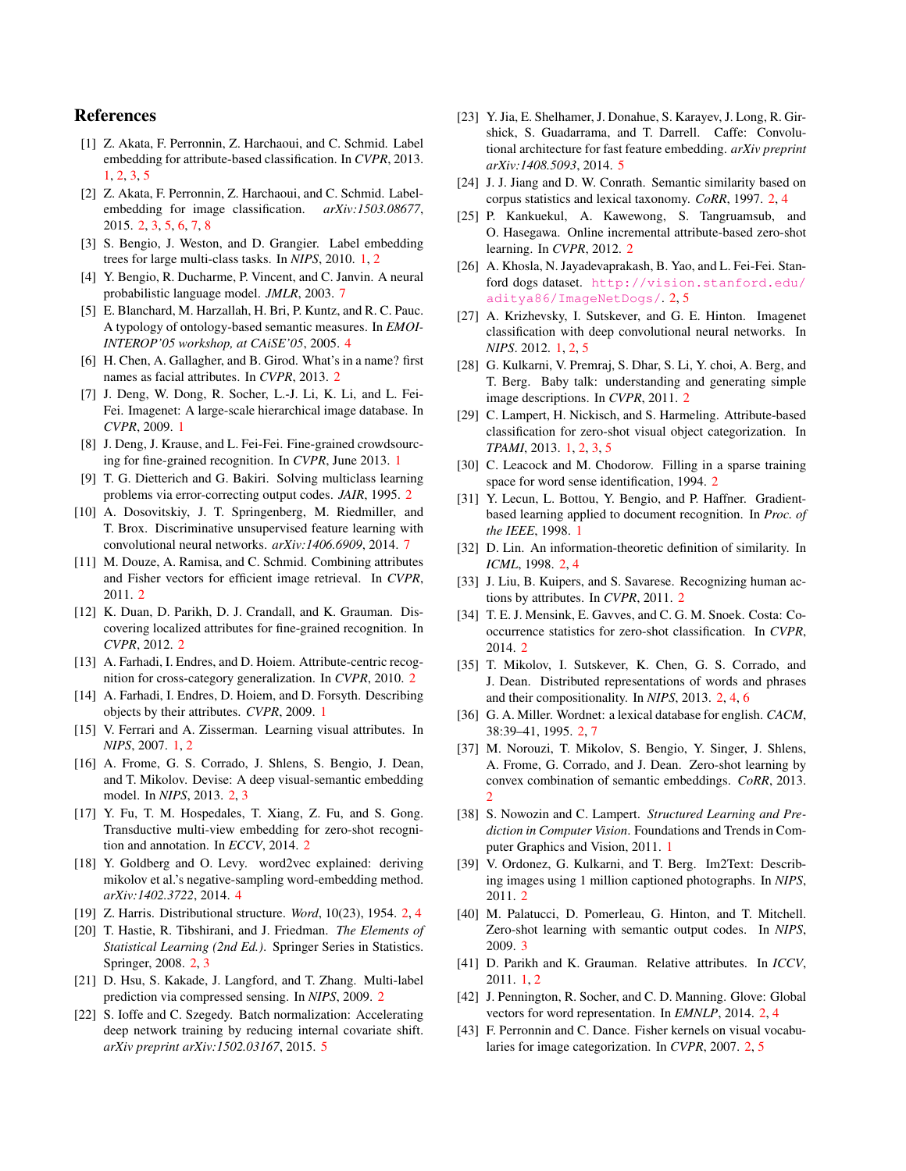## References

- <span id="page-8-9"></span>[1] Z. Akata, F. Perronnin, Z. Harchaoui, and C. Schmid. Label embedding for attribute-based classification. In *CVPR*, 2013. [1,](#page-0-1) [2,](#page-1-2) [3,](#page-2-6) [5](#page-4-6)
- <span id="page-8-12"></span>[2] Z. Akata, F. Perronnin, Z. Harchaoui, and C. Schmid. Labelembedding for image classification. *arXiv:1503.08677*, 2015. [2,](#page-1-2) [3,](#page-2-6) [5,](#page-4-6) [6,](#page-5-3) [7,](#page-6-3) [8](#page-7-3)
- <span id="page-8-8"></span>[3] S. Bengio, J. Weston, and D. Grangier. Label embedding trees for large multi-class tasks. In *NIPS*, 2010. [1,](#page-0-1) [2](#page-1-2)
- <span id="page-8-41"></span>[4] Y. Bengio, R. Ducharme, P. Vincent, and C. Janvin. A neural probabilistic language model. *JMLR*, 2003. [7](#page-6-3)
- <span id="page-8-37"></span>[5] E. Blanchard, M. Harzallah, H. Bri, P. Kuntz, and R. C. Pauc. A typology of ontology-based semantic measures. In *EMOI-INTEROP'05 workshop, at CAiSE'05*, 2005. [4](#page-3-3)
- <span id="page-8-20"></span>[6] H. Chen, A. Gallagher, and B. Girod. What's in a name? first names as facial attributes. In *CVPR*, 2013. [2](#page-1-2)
- <span id="page-8-0"></span>[7] J. Deng, W. Dong, R. Socher, L.-J. Li, K. Li, and L. Fei-Fei. Imagenet: A large-scale hierarchical image database. In *CVPR*, 2009. [1](#page-0-1)
- <span id="page-8-6"></span>[8] J. Deng, J. Krause, and L. Fei-Fei. Fine-grained crowdsourcing for fine-grained recognition. In *CVPR*, June 2013. [1](#page-0-1)
- <span id="page-8-32"></span>[9] T. G. Dietterich and G. Bakiri. Solving multiclass learning problems via error-correcting output codes. *JAIR*, 1995. [2](#page-1-2)
- <span id="page-8-42"></span>[10] A. Dosovitskiy, J. T. Springenberg, M. Riedmiller, and T. Brox. Discriminative unsupervised feature learning with convolutional neural networks. *arXiv:1406.6909*, 2014. [7](#page-6-3)
- <span id="page-8-21"></span>[11] M. Douze, A. Ramisa, and C. Schmid. Combining attributes and Fisher vectors for efficient image retrieval. In *CVPR*, 2011. [2](#page-1-2)
- <span id="page-8-17"></span>[12] K. Duan, D. Parikh, D. J. Crandall, and K. Grauman. Discovering localized attributes for fine-grained recognition. In *CVPR*, 2012. [2](#page-1-2)
- <span id="page-8-16"></span>[13] A. Farhadi, I. Endres, and D. Hoiem. Attribute-centric recognition for cross-category generalization. In *CVPR*, 2010. [2](#page-1-2)
- <span id="page-8-4"></span>[14] A. Farhadi, I. Endres, D. Hoiem, and D. Forsyth. Describing objects by their attributes. *CVPR*, 2009. [1](#page-0-1)
- <span id="page-8-3"></span>[15] V. Ferrari and A. Zisserman. Learning visual attributes. In *NIPS*, 2007. [1,](#page-0-1) [2](#page-1-2)
- <span id="page-8-34"></span>[16] A. Frome, G. S. Corrado, J. Shlens, S. Bengio, J. Dean, and T. Mikolov. Devise: A deep visual-semantic embedding model. In *NIPS*, 2013. [2,](#page-1-2) [3](#page-2-6)
- <span id="page-8-15"></span>[17] Y. Fu, T. M. Hospedales, T. Xiang, Z. Fu, and S. Gong. Transductive multi-view embedding for zero-shot recognition and annotation. In *ECCV*, 2014. [2](#page-1-2)
- <span id="page-8-38"></span>[18] Y. Goldberg and O. Levy. word2vec explained: deriving mikolov et al.'s negative-sampling word-embedding method. *arXiv:1402.3722*, 2014. [4](#page-3-3)
- <span id="page-8-24"></span>[19] Z. Harris. Distributional structure. *Word*, 10(23), 1954. [2,](#page-1-2) [4](#page-3-3)
- <span id="page-8-33"></span>[20] T. Hastie, R. Tibshirani, and J. Friedman. *The Elements of Statistical Learning (2nd Ed.)*. Springer Series in Statistics. Springer, 2008. [2,](#page-1-2) [3](#page-2-6)
- <span id="page-8-31"></span>[21] D. Hsu, S. Kakade, J. Langford, and T. Zhang. Multi-label prediction via compressed sensing. In *NIPS*, 2009. [2](#page-1-2)
- <span id="page-8-39"></span>[22] S. Ioffe and C. Szegedy. Batch normalization: Accelerating deep network training by reducing internal covariate shift. *arXiv preprint arXiv:1502.03167*, 2015. [5](#page-4-6)
- <span id="page-8-40"></span>[23] Y. Jia, E. Shelhamer, J. Donahue, S. Karayev, J. Long, R. Girshick, S. Guadarrama, and T. Darrell. Caffe: Convolutional architecture for fast feature embedding. *arXiv preprint arXiv:1408.5093*, 2014. [5](#page-4-6)
- <span id="page-8-26"></span>[24] J. J. Jiang and D. W. Conrath. Semantic similarity based on corpus statistics and lexical taxonomy. *CoRR*, 1997. [2,](#page-1-2) [4](#page-3-3)
- <span id="page-8-11"></span>[25] P. Kankuekul, A. Kawewong, S. Tangruamsub, and O. Hasegawa. Online incremental attribute-based zero-shot learning. In *CVPR*, 2012. [2](#page-1-2)
- <span id="page-8-23"></span>[26] A. Khosla, N. Jayadevaprakash, B. Yao, and L. Fei-Fei. Stanford dogs dataset. [http://vision.stanford.edu/](http://vision.stanford.edu/aditya86/ImageNetDogs/) [aditya86/ImageNetDogs/](http://vision.stanford.edu/aditya86/ImageNetDogs/). [2,](#page-1-2) [5](#page-4-6)
- <span id="page-8-1"></span>[27] A. Krizhevsky, I. Sutskever, and G. E. Hinton. Imagenet classification with deep convolutional neural networks. In *NIPS*. 2012. [1,](#page-0-1) [2,](#page-1-2) [5](#page-4-6)
- <span id="page-8-18"></span>[28] G. Kulkarni, V. Premraj, S. Dhar, S. Li, Y. choi, A. Berg, and T. Berg. Baby talk: understanding and generating simple image descriptions. In *CVPR*, 2011. [2](#page-1-2)
- <span id="page-8-5"></span>[29] C. Lampert, H. Nickisch, and S. Harmeling. Attribute-based classification for zero-shot visual object categorization. In *TPAMI*, 2013. [1,](#page-0-1) [2,](#page-1-2) [3,](#page-2-6) [5](#page-4-6)
- <span id="page-8-27"></span>[30] C. Leacock and M. Chodorow. Filling in a sparse training space for word sense identification, 1994. [2](#page-1-2)
- <span id="page-8-2"></span>[31] Y. Lecun, L. Bottou, Y. Bengio, and P. Haffner. Gradientbased learning applied to document recognition. In *Proc. of the IEEE*, 1998. [1](#page-0-1)
- <span id="page-8-28"></span>[32] D. Lin. An information-theoretic definition of similarity. In *ICML*, 1998. [2,](#page-1-2) [4](#page-3-3)
- <span id="page-8-22"></span>[33] J. Liu, B. Kuipers, and S. Savarese. Recognizing human actions by attributes. In *CVPR*, 2011. [2](#page-1-2)
- <span id="page-8-14"></span>[34] T. E. J. Mensink, E. Gavves, and C. G. M. Snoek. Costa: Cooccurrence statistics for zero-shot classification. In *CVPR*, 2014. [2](#page-1-2)
- <span id="page-8-29"></span>[35] T. Mikolov, I. Sutskever, K. Chen, G. S. Corrado, and J. Dean. Distributed representations of words and phrases and their compositionality. In *NIPS*, 2013. [2,](#page-1-2) [4,](#page-3-3) [6](#page-5-3)
- <span id="page-8-25"></span>[36] G. A. Miller. Wordnet: a lexical database for english. *CACM*, 38:39–41, 1995. [2,](#page-1-2) [7](#page-6-3)
- <span id="page-8-13"></span>[37] M. Norouzi, T. Mikolov, S. Bengio, Y. Singer, J. Shlens, A. Frome, G. Corrado, and J. Dean. Zero-shot learning by convex combination of semantic embeddings. *CoRR*, 2013. [2](#page-1-2)
- <span id="page-8-10"></span>[38] S. Nowozin and C. Lampert. *Structured Learning and Prediction in Computer Vision*. Foundations and Trends in Computer Graphics and Vision, 2011. [1](#page-0-1)
- <span id="page-8-19"></span>[39] V. Ordonez, G. Kulkarni, and T. Berg. Im2Text: Describing images using 1 million captioned photographs. In *NIPS*, 2011. [2](#page-1-2)
- <span id="page-8-36"></span>[40] M. Palatucci, D. Pomerleau, G. Hinton, and T. Mitchell. Zero-shot learning with semantic output codes. In *NIPS*, 2009. [3](#page-2-6)
- <span id="page-8-7"></span>[41] D. Parikh and K. Grauman. Relative attributes. In *ICCV*, 2011. [1,](#page-0-1) [2](#page-1-2)
- <span id="page-8-30"></span>[42] J. Pennington, R. Socher, and C. D. Manning. Glove: Global vectors for word representation. In *EMNLP*, 2014. [2,](#page-1-2) [4](#page-3-3)
- <span id="page-8-35"></span>[43] F. Perronnin and C. Dance. Fisher kernels on visual vocabularies for image categorization. In *CVPR*, 2007. [2,](#page-1-2) [5](#page-4-6)